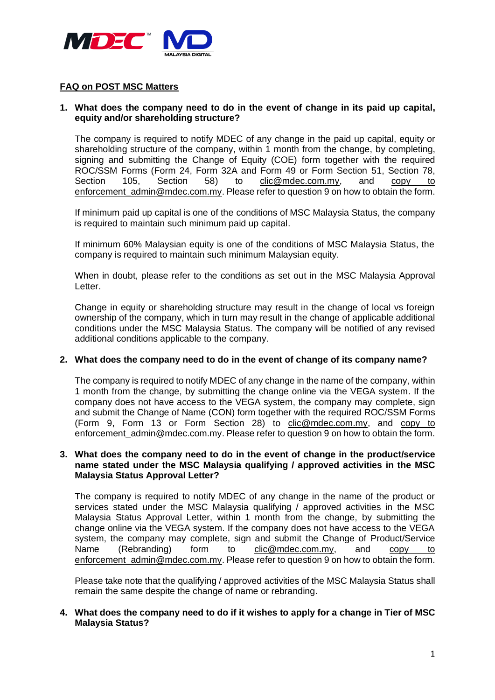

## **FAQ on POST MSC Matters**

# **1. What does the company need to do in the event of change in its paid up capital, equity and/or shareholding structure?**

The company is required to notify MDEC of any change in the paid up capital, equity or shareholding structure of the company, within 1 month from the change, by completing, signing and submitting the Change of Equity (COE) form together with the required ROC/SSM Forms (Form 24, Form 32A and Form 49 or Form Section 51, Section 78, Section 105, Section 58) to clic@mdec.com.my, and copy to [enforcement\\_admin@mdec.com.my.](mailto:enforcement_admin@mdec.com.my) Please refer to question 9 on how to obtain the form.

If minimum paid up capital is one of the conditions of MSC Malaysia Status, the company is required to maintain such minimum paid up capital.

If minimum 60% Malaysian equity is one of the conditions of MSC Malaysia Status, the company is required to maintain such minimum Malaysian equity.

When in doubt, please refer to the conditions as set out in the MSC Malaysia Approval Letter.

Change in equity or shareholding structure may result in the change of local vs foreign ownership of the company, which in turn may result in the change of applicable additional conditions under the MSC Malaysia Status. The company will be notified of any revised additional conditions applicable to the company.

#### **2. What does the company need to do in the event of change of its company name?**

The company is required to notify MDEC of any change in the name of the company, within 1 month from the change, by submitting the change online via the VEGA system. If the company does not have access to the VEGA system, the company may complete, sign and submit the Change of Name (CON) form together with the required ROC/SSM Forms (Form 9, Form 13 or Form Section 28) to clic@mdec.com.my, and copy to [enforcement\\_admin@mdec.com.my.](mailto:enforcement_admin@mdec.com.my) Please refer to question 9 on how to obtain the form.

#### **3. What does the company need to do in the event of change in the product/service name stated under the MSC Malaysia qualifying / approved activities in the MSC Malaysia Status Approval Letter?**

The company is required to notify MDEC of any change in the name of the product or services stated under the MSC Malaysia qualifying / approved activities in the MSC Malaysia Status Approval Letter, within 1 month from the change, by submitting the change online via the VEGA system. If the company does not have access to the VEGA system, the company may complete, sign and submit the Change of Product/Service Name (Rebranding) form to clic@mdec.com.my, and copy to enforcement admin@mdec.com.my. Please refer to question 9 on how to obtain the form.

Please take note that the qualifying / approved activities of the MSC Malaysia Status shall remain the same despite the change of name or rebranding.

# **4. What does the company need to do if it wishes to apply for a change in Tier of MSC Malaysia Status?**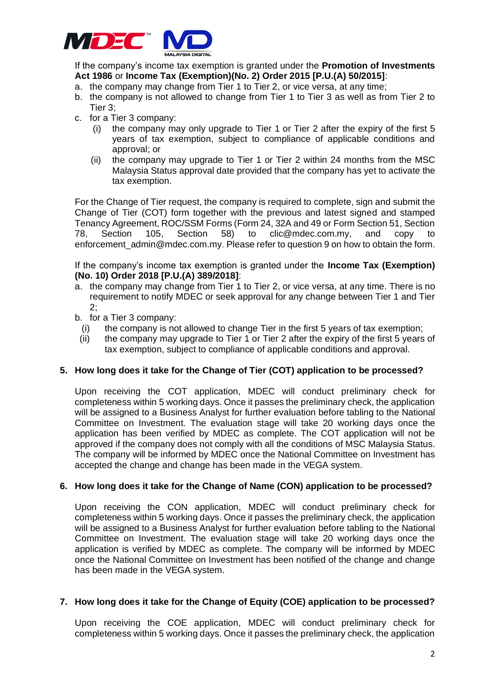

If the company's income tax exemption is granted under the **Promotion of Investments Act 1986** or **Income Tax (Exemption)(No. 2) Order 2015 [P.U.(A) 50/2015]**:

- a. the company may change from Tier 1 to Tier 2, or vice versa, at any time;
- b. the company is not allowed to change from Tier 1 to Tier 3 as well as from Tier 2 to Tier 3;
- c. for a Tier 3 company:
	- (i) the company may only upgrade to Tier 1 or Tier 2 after the expiry of the first 5 years of tax exemption, subject to compliance of applicable conditions and approval; or
	- (ii) the company may upgrade to Tier 1 or Tier 2 within 24 months from the MSC Malaysia Status approval date provided that the company has yet to activate the tax exemption.

For the Change of Tier request, the company is required to complete, sign and submit the Change of Tier (COT) form together with the previous and latest signed and stamped Tenancy Agreement, ROC/SSM Forms (Form 24, 32A and 49 or Form Section 51, Section 78, Section 105, Section 58) to clic@mdec.com.my, and copy to enforcement admin@mdec.com.my. Please refer to question 9 on how to obtain the form.

If the company's income tax exemption is granted under the **Income Tax (Exemption) (No. 10) Order 2018 [P.U.(A) 389/2018]**:

- a. the company may change from Tier 1 to Tier 2, or vice versa, at any time. There is no requirement to notify MDEC or seek approval for any change between Tier 1 and Tier 2;
- b. for a Tier 3 company:
	- (i) the company is not allowed to change Tier in the first 5 years of tax exemption;
	- (ii) the company may upgrade to Tier 1 or Tier 2 after the expiry of the first 5 years of tax exemption, subject to compliance of applicable conditions and approval.

# **5. How long does it take for the Change of Tier (COT) application to be processed?**

Upon receiving the COT application, MDEC will conduct preliminary check for completeness within 5 working days. Once it passes the preliminary check, the application will be assigned to a Business Analyst for further evaluation before tabling to the National Committee on Investment. The evaluation stage will take 20 working days once the application has been verified by MDEC as complete. The COT application will not be approved if the company does not comply with all the conditions of MSC Malaysia Status. The company will be informed by MDEC once the National Committee on Investment has accepted the change and change has been made in the VEGA system.

# **6. How long does it take for the Change of Name (CON) application to be processed?**

Upon receiving the CON application, MDEC will conduct preliminary check for completeness within 5 working days. Once it passes the preliminary check, the application will be assigned to a Business Analyst for further evaluation before tabling to the National Committee on Investment. The evaluation stage will take 20 working days once the application is verified by MDEC as complete. The company will be informed by MDEC once the National Committee on Investment has been notified of the change and change has been made in the VEGA system.

#### **7. How long does it take for the Change of Equity (COE) application to be processed?**

Upon receiving the COE application, MDEC will conduct preliminary check for completeness within 5 working days. Once it passes the preliminary check, the application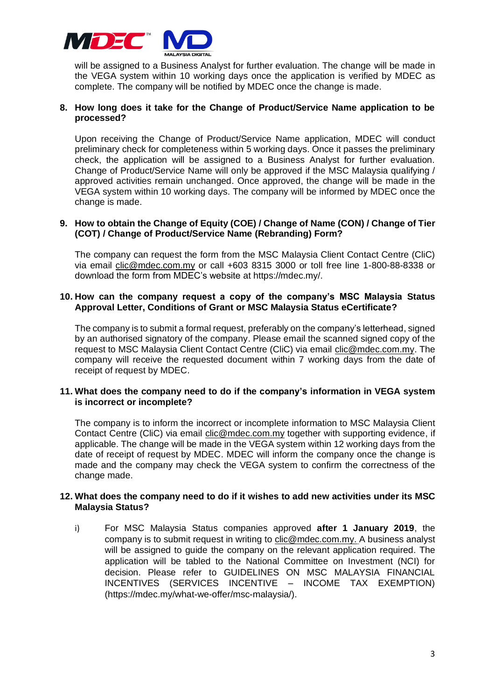

will be assigned to a Business Analyst for further evaluation. The change will be made in the VEGA system within 10 working days once the application is verified by MDEC as complete. The company will be notified by MDEC once the change is made.

# **8. How long does it take for the Change of Product/Service Name application to be processed?**

Upon receiving the Change of Product/Service Name application, MDEC will conduct preliminary check for completeness within 5 working days. Once it passes the preliminary check, the application will be assigned to a Business Analyst for further evaluation. Change of Product/Service Name will only be approved if the MSC Malaysia qualifying / approved activities remain unchanged. Once approved, the change will be made in the VEGA system within 10 working days. The company will be informed by MDEC once the change is made.

# **9. How to obtain the Change of Equity (COE) / Change of Name (CON) / Change of Tier (COT) / Change of Product/Service Name (Rebranding) Form?**

The company can request the form from the MSC Malaysia Client Contact Centre (CliC) via email clic@mdec.com.my or call +603 8315 3000 or toll free line 1-800-88-8338 or download the form from MDEC's website at https://mdec.my/.

# **10. How can the company request a copy of the company's MSC Malaysia Status Approval Letter, Conditions of Grant or MSC Malaysia Status eCertificate?**

The company is to submit a formal request, preferably on the company's letterhead, signed by an authorised signatory of the company. Please email the scanned signed copy of the request to MSC Malaysia Client Contact Centre (CliC) via email [clic@mdec.com.my.](mailto:clic@mdec.com.my) The company will receive the requested document within 7 working days from the date of receipt of request by MDEC.

# **11. What does the company need to do if the company's information in VEGA system is incorrect or incomplete?**

The company is to inform the incorrect or incomplete information to MSC Malaysia Client Contact Centre (CliC) via email [clic@mdec.com.my](mailto:clic@mdec.com.my) together with supporting evidence, if applicable. The change will be made in the VEGA system within 12 working days from the date of receipt of request by MDEC. MDEC will inform the company once the change is made and the company may check the VEGA system to confirm the correctness of the change made.

# **12. What does the company need to do if it wishes to add new activities under its MSC Malaysia Status?**

i) For MSC Malaysia Status companies approved **after 1 January 2019**, the company is to submit request in writing to [clic@mdec.com.my.](mailto:clic@mdec.com.my) A business analyst will be assigned to guide the company on the relevant application required. The application will be tabled to the National Committee on Investment (NCI) for decision. Please refer to GUIDELINES ON MSC MALAYSIA FINANCIAL INCENTIVES (SERVICES INCENTIVE – INCOME TAX EXEMPTION) (https://mdec.my/what-we-offer/msc-malaysia/).